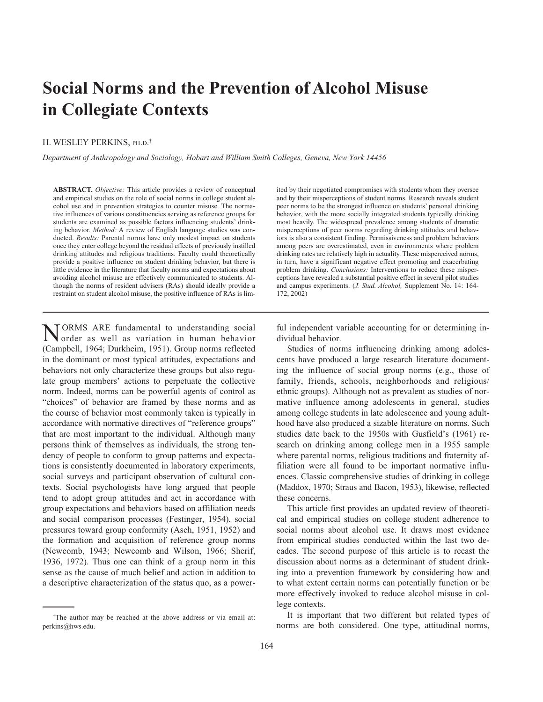# **Social Norms and the Prevention of Alcohol Misuse in Collegiate Contexts**

## H. WESLEY PERKINS, PH.D. †

*Department of Anthropology and Sociology, Hobart and William Smith Colleges, Geneva, New York 14456* 

**ABSTRACT.** *Objective:* This article provides a review of conceptual and empirical studies on the role of social norms in college student alcohol use and in prevention strategies to counter misuse. The normative influences of various constituencies serving as reference groups for students are examined as possible factors influencing students' drinking behavior. *Method:* A review of English language studies was conducted. *Results:* Parental norms have only modest impact on students once they enter college beyond the residual effects of previously instilled drinking attitudes and religious traditions. Faculty could theoretically provide a positive influence on student drinking behavior, but there is little evidence in the literature that faculty norms and expectations about avoiding alcohol misuse are effectively communicated to students. Although the norms of resident advisers (RAs) should ideally provide a restraint on student alcohol misuse, the positive influence of RAs is lim-

NORMS ARE fundamental to understanding social order as well as variation in human behavior (Campbell, 1964; Durkheim, 1951). Group norms reflected in the dominant or most typical attitudes, expectations and behaviors not only characterize these groups but also regulate group members' actions to perpetuate the collective norm. Indeed, norms can be powerful agents of control as "choices" of behavior are framed by these norms and as the course of behavior most commonly taken is typically in accordance with normative directives of "reference groups" that are most important to the individual. Although many persons think of themselves as individuals, the strong tendency of people to conform to group patterns and expectations is consistently documented in laboratory experiments, social surveys and participant observation of cultural contexts. Social psychologists have long argued that people tend to adopt group attitudes and act in accordance with group expectations and behaviors based on affiliation needs and social comparison processes (Festinger, 1954), social pressures toward group conformity (Asch, 1951, 1952) and the formation and acquisition of reference group norms (Newcomb, 1943; Newcomb and Wilson, 1966; Sherif, 1936, 1972). Thus one can think of a group norm in this sense as the cause of much belief and action in addition to a descriptive characterization of the status quo, as a power

ited by their negotiated compromises with students whom they oversee and by their misperceptions of student norms. Research reveals student peer norms to be the strongest influence on students' personal drinking behavior, with the more socially integrated students typically drinking most heavily. The widespread prevalence among students of dramatic misperceptions of peer norms regarding drinking attitudes and behaviors is also a consistent finding. Permissiveness and problem behaviors among peers are overestimated, even in environments where problem drinking rates are relatively high in actuality. These misperceived norms, in turn, have a significant negative effect promoting and exacerbating problem drinking. *Conclusions:* Interventions to reduce these misperceptions have revealed a substantial positive effect in several pilot studies and campus experiments. (*J. Stud. Alcohol,* Supplement No. 14: 164 172, 2002)

ful independent variable accounting for or determining individual behavior.

Studies of norms influencing drinking among adolescents have produced a large research literature documenting the influence of social group norms (e.g., those of family, friends, schools, neighborhoods and religious/ ethnic groups). Although not as prevalent as studies of normative influence among adolescents in general, studies among college students in late adolescence and young adulthood have also produced a sizable literature on norms. Such studies date back to the 1950s with Gusfield's (1961) research on drinking among college men in a 1955 sample where parental norms, religious traditions and fraternity affiliation were all found to be important normative influences. Classic comprehensive studies of drinking in college (Maddox, 1970; Straus and Bacon, 1953), likewise, reflected these concerns.

This article first provides an updated review of theoretical and empirical studies on college student adherence to social norms about alcohol use. It draws most evidence from empirical studies conducted within the last two decades. The second purpose of this article is to recast the discussion about norms as a determinant of student drinking into a prevention framework by considering how and to what extent certain norms can potentially function or be more effectively invoked to reduce alcohol misuse in college contexts.

It is important that two different but related types of norms are both considered. One type, attitudinal norms,

<sup>†</sup> The author may be reached at the above address or via email at: perkins@hws.edu.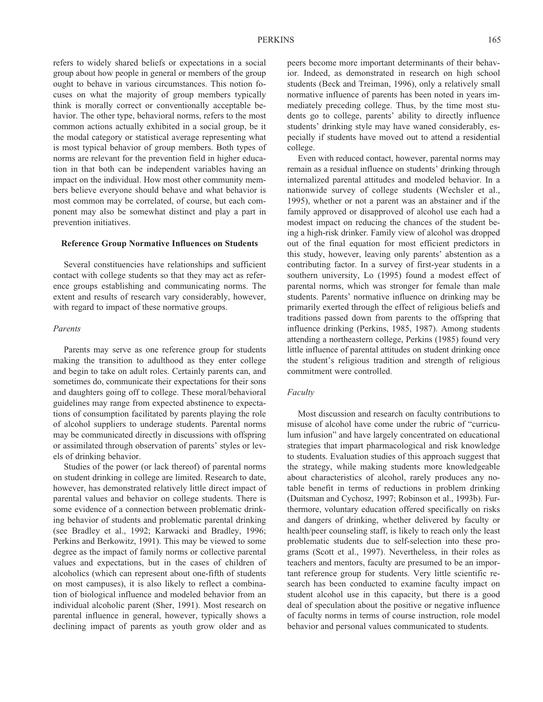refers to widely shared beliefs or expectations in a social group about how people in general or members of the group ought to behave in various circumstances. This notion focuses on what the majority of group members typically think is morally correct or conventionally acceptable behavior. The other type, behavioral norms, refers to the most common actions actually exhibited in a social group, be it the modal category or statistical average representing what is most typical behavior of group members. Both types of norms are relevant for the prevention field in higher education in that both can be independent variables having an impact on the individual. How most other community members believe everyone should behave and what behavior is most common may be correlated, of course, but each component may also be somewhat distinct and play a part in prevention initiatives.

## **Reference Group Normative Influences on Students**

Several constituencies have relationships and sufficient contact with college students so that they may act as reference groups establishing and communicating norms. The extent and results of research vary considerably, however, with regard to impact of these normative groups.

#### *Parents*

Parents may serve as one reference group for students making the transition to adulthood as they enter college and begin to take on adult roles. Certainly parents can, and sometimes do, communicate their expectations for their sons and daughters going off to college. These moral/behavioral guidelines may range from expected abstinence to expectations of consumption facilitated by parents playing the role of alcohol suppliers to underage students. Parental norms may be communicated directly in discussions with offspring or assimilated through observation of parents' styles or levels of drinking behavior.

Studies of the power (or lack thereof) of parental norms on student drinking in college are limited. Research to date, however, has demonstrated relatively little direct impact of parental values and behavior on college students. There is some evidence of a connection between problematic drinking behavior of students and problematic parental drinking (see Bradley et al., 1992; Karwacki and Bradley, 1996; Perkins and Berkowitz, 1991). This may be viewed to some degree as the impact of family norms or collective parental values and expectations, but in the cases of children of alcoholics (which can represent about one-fifth of students on most campuses), it is also likely to reflect a combination of biological influence and modeled behavior from an individual alcoholic parent (Sher, 1991). Most research on parental influence in general, however, typically shows a declining impact of parents as youth grow older and as

peers become more important determinants of their behavior. Indeed, as demonstrated in research on high school students (Beck and Treiman, 1996), only a relatively small normative influence of parents has been noted in years immediately preceding college. Thus, by the time most students go to college, parents' ability to directly influence students' drinking style may have waned considerably, especially if students have moved out to attend a residential college.

Even with reduced contact, however, parental norms may remain as a residual influence on students' drinking through internalized parental attitudes and modeled behavior. In a nationwide survey of college students (Wechsler et al., 1995), whether or not a parent was an abstainer and if the family approved or disapproved of alcohol use each had a modest impact on reducing the chances of the student being a high-risk drinker. Family view of alcohol was dropped out of the final equation for most efficient predictors in this study, however, leaving only parents' abstention as a contributing factor. In a survey of first-year students in a southern university, Lo (1995) found a modest effect of parental norms, which was stronger for female than male students. Parents' normative influence on drinking may be primarily exerted through the effect of religious beliefs and traditions passed down from parents to the offspring that influence drinking (Perkins, 1985, 1987). Among students attending a northeastern college, Perkins (1985) found very little influence of parental attitudes on student drinking once the student's religious tradition and strength of religious commitment were controlled.

## *Faculty*

Most discussion and research on faculty contributions to misuse of alcohol have come under the rubric of "curriculum infusion" and have largely concentrated on educational strategies that impart pharmacological and risk knowledge to students. Evaluation studies of this approach suggest that the strategy, while making students more knowledgeable about characteristics of alcohol, rarely produces any notable benefit in terms of reductions in problem drinking (Duitsman and Cychosz, 1997; Robinson et al., 1993b). Furthermore, voluntary education offered specifically on risks and dangers of drinking, whether delivered by faculty or health/peer counseling staff, is likely to reach only the least problematic students due to self-selection into these programs (Scott et al., 1997). Nevertheless, in their roles as teachers and mentors, faculty are presumed to be an important reference group for students. Very little scientific research has been conducted to examine faculty impact on student alcohol use in this capacity, but there is a good deal of speculation about the positive or negative influence of faculty norms in terms of course instruction, role model behavior and personal values communicated to students.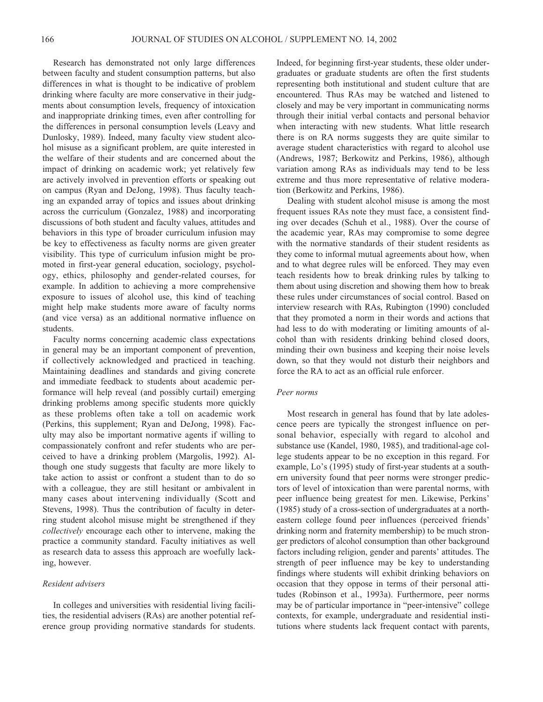Research has demonstrated not only large differences between faculty and student consumption patterns, but also differences in what is thought to be indicative of problem drinking where faculty are more conservative in their judgments about consumption levels, frequency of intoxication and inappropriate drinking times, even after controlling for the differences in personal consumption levels (Leavy and Dunlosky, 1989). Indeed, many faculty view student alcohol misuse as a significant problem, are quite interested in the welfare of their students and are concerned about the impact of drinking on academic work; yet relatively few are actively involved in prevention efforts or speaking out on campus (Ryan and DeJong, 1998). Thus faculty teaching an expanded array of topics and issues about drinking across the curriculum (Gonzalez, 1988) and incorporating discussions of both student and faculty values, attitudes and behaviors in this type of broader curriculum infusion may be key to effectiveness as faculty norms are given greater visibility. This type of curriculum infusion might be promoted in first-year general education, sociology, psychology, ethics, philosophy and gender-related courses, for example. In addition to achieving a more comprehensive exposure to issues of alcohol use, this kind of teaching might help make students more aware of faculty norms (and vice versa) as an additional normative influence on students.

Faculty norms concerning academic class expectations in general may be an important component of prevention, if collectively acknowledged and practiced in teaching. Maintaining deadlines and standards and giving concrete and immediate feedback to students about academic performance will help reveal (and possibly curtail) emerging drinking problems among specific students more quickly as these problems often take a toll on academic work (Perkins, this supplement; Ryan and DeJong, 1998). Faculty may also be important normative agents if willing to compassionately confront and refer students who are perceived to have a drinking problem (Margolis, 1992). Although one study suggests that faculty are more likely to take action to assist or confront a student than to do so with a colleague, they are still hesitant or ambivalent in many cases about intervening individually (Scott and Stevens, 1998). Thus the contribution of faculty in deterring student alcohol misuse might be strengthened if they *collectively* encourage each other to intervene, making the practice a community standard. Faculty initiatives as well as research data to assess this approach are woefully lacking, however.

## *Resident advisers*

In colleges and universities with residential living facilities, the residential advisers (RAs) are another potential reference group providing normative standards for students. Indeed, for beginning first-year students, these older undergraduates or graduate students are often the first students representing both institutional and student culture that are encountered. Thus RAs may be watched and listened to closely and may be very important in communicating norms through their initial verbal contacts and personal behavior when interacting with new students. What little research there is on RA norms suggests they are quite similar to average student characteristics with regard to alcohol use (Andrews, 1987; Berkowitz and Perkins, 1986), although variation among RAs as individuals may tend to be less extreme and thus more representative of relative moderation (Berkowitz and Perkins, 1986).

Dealing with student alcohol misuse is among the most frequent issues RAs note they must face, a consistent finding over decades (Schuh et al., 1988). Over the course of the academic year, RAs may compromise to some degree with the normative standards of their student residents as they come to informal mutual agreements about how, when and to what degree rules will be enforced. They may even teach residents how to break drinking rules by talking to them about using discretion and showing them how to break these rules under circumstances of social control. Based on interview research with RAs, Rubington (1990) concluded that they promoted a norm in their words and actions that had less to do with moderating or limiting amounts of alcohol than with residents drinking behind closed doors, minding their own business and keeping their noise levels down, so that they would not disturb their neighbors and force the RA to act as an official rule enforcer.

## *Peer norms*

Most research in general has found that by late adolescence peers are typically the strongest influence on personal behavior, especially with regard to alcohol and substance use (Kandel, 1980, 1985), and traditional-age college students appear to be no exception in this regard. For example, Lo's (1995) study of first-year students at a southern university found that peer norms were stronger predictors of level of intoxication than were parental norms, with peer influence being greatest for men. Likewise, Perkins' (1985) study of a cross-section of undergraduates at a northeastern college found peer influences (perceived friends' drinking norm and fraternity membership) to be much stronger predictors of alcohol consumption than other background factors including religion, gender and parents' attitudes. The strength of peer influence may be key to understanding findings where students will exhibit drinking behaviors on occasion that they oppose in terms of their personal attitudes (Robinson et al., 1993a). Furthermore, peer norms may be of particular importance in "peer-intensive" college contexts, for example, undergraduate and residential institutions where students lack frequent contact with parents,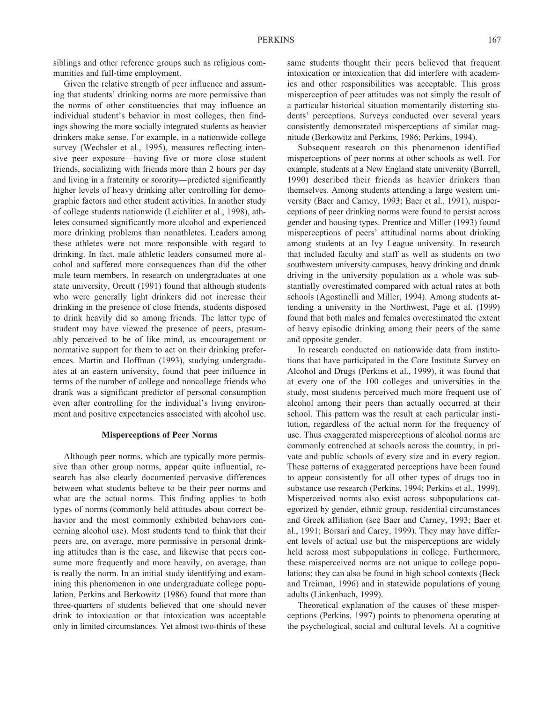siblings and other reference groups such as religious communities and full-time employment.

Given the relative strength of peer influence and assuming that students' drinking norms are more permissive than the norms of other constituencies that may influence an individual student's behavior in most colleges, then findings showing the more socially integrated students as heavier drinkers make sense. For example, in a nationwide college survey (Wechsler et al., 1995), measures reflecting intensive peer exposure—having five or more close student friends, socializing with friends more than 2 hours per day and living in a fraternity or sorority—predicted significantly higher levels of heavy drinking after controlling for demographic factors and other student activities. In another study of college students nationwide (Leichliter et al., 1998), athletes consumed significantly more alcohol and experienced more drinking problems than nonathletes. Leaders among these athletes were not more responsible with regard to drinking. In fact, male athletic leaders consumed more alcohol and suffered more consequences than did the other male team members. In research on undergraduates at one state university, Orcutt (1991) found that although students who were generally light drinkers did not increase their drinking in the presence of close friends, students disposed to drink heavily did so among friends. The latter type of student may have viewed the presence of peers, presumably perceived to be of like mind, as encouragement or normative support for them to act on their drinking preferences. Martin and Hoffman (1993), studying undergraduates at an eastern university, found that peer influence in terms of the number of college and noncollege friends who drank was a significant predictor of personal consumption even after controlling for the individual's living environment and positive expectancies associated with alcohol use.

#### **Misperceptions of Peer Norms**

Although peer norms, which are typically more permissive than other group norms, appear quite influential, research has also clearly documented pervasive differences between what students believe to be their peer norms and what are the actual norms. This finding applies to both types of norms (commonly held attitudes about correct behavior and the most commonly exhibited behaviors concerning alcohol use). Most students tend to think that their peers are, on average, more permissive in personal drinking attitudes than is the case, and likewise that peers consume more frequently and more heavily, on average, than is really the norm. In an initial study identifying and examining this phenomenon in one undergraduate college population, Perkins and Berkowitz (1986) found that more than three-quarters of students believed that one should never drink to intoxication or that intoxication was acceptable only in limited circumstances. Yet almost two-thirds of these same students thought their peers believed that frequent intoxication or intoxication that did interfere with academics and other responsibilities was acceptable. This gross misperception of peer attitudes was not simply the result of a particular historical situation momentarily distorting students' perceptions. Surveys conducted over several years consistently demonstrated misperceptions of similar magnitude (Berkowitz and Perkins, 1986; Perkins, 1994).

Subsequent research on this phenomenon identified misperceptions of peer norms at other schools as well. For example, students at a New England state university (Burrell, 1990) described their friends as heavier drinkers than themselves. Among students attending a large western university (Baer and Carney, 1993; Baer et al., 1991), misperceptions of peer drinking norms were found to persist across gender and housing types. Prentice and Miller (1993) found misperceptions of peers' attitudinal norms about drinking among students at an Ivy League university. In research that included faculty and staff as well as students on two southwestern university campuses, heavy drinking and drunk driving in the university population as a whole was substantially overestimated compared with actual rates at both schools (Agostinelli and Miller, 1994). Among students attending a university in the Northwest, Page et al. (1999) found that both males and females overestimated the extent of heavy episodic drinking among their peers of the same and opposite gender.

In research conducted on nationwide data from institutions that have participated in the Core Institute Survey on Alcohol and Drugs (Perkins et al., 1999), it was found that at every one of the 100 colleges and universities in the study, most students perceived much more frequent use of alcohol among their peers than actually occurred at their school. This pattern was the result at each particular institution, regardless of the actual norm for the frequency of use. Thus exaggerated misperceptions of alcohol norms are commonly entrenched at schools across the country, in private and public schools of every size and in every region. These patterns of exaggerated perceptions have been found to appear consistently for all other types of drugs too in substance use research (Perkins, 1994; Perkins et al., 1999). Misperceived norms also exist across subpopulations categorized by gender, ethnic group, residential circumstances and Greek affiliation (see Baer and Carney, 1993; Baer et al., 1991; Borsari and Carey, 1999). They may have different levels of actual use but the misperceptions are widely held across most subpopulations in college. Furthermore, these misperceived norms are not unique to college populations; they can also be found in high school contexts (Beck and Treiman, 1996) and in statewide populations of young adults (Linkenbach, 1999).

Theoretical explanation of the causes of these misperceptions (Perkins, 1997) points to phenomena operating at the psychological, social and cultural levels. At a cognitive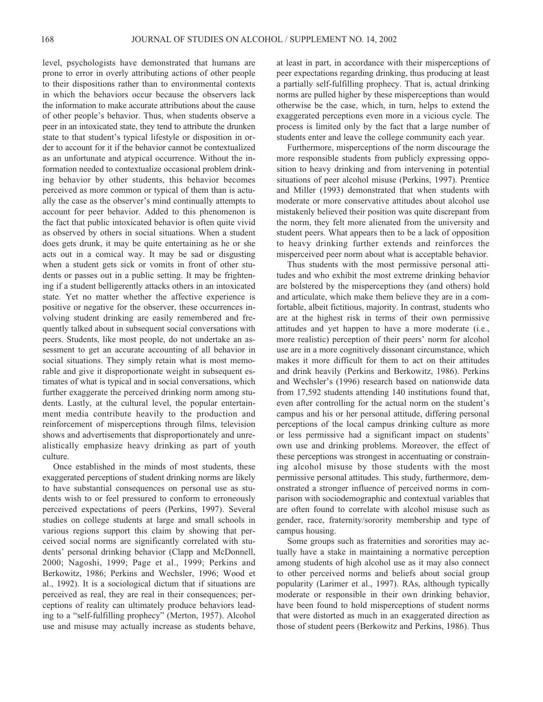level, psychologists have demonstrated that humans are prone to error in overly attributing actions of other people to their dispositions rather than to environmental contexts in which the behaviors occur because the observers lack the information to make accurate attributions about the cause of other people's behavior. Thus, when students observe a peer in an intoxicated state, they tend to attribute the drunken state to that student's typical lifestyle or disposition in order to account for it if the behavior cannot be contextualized as an unfortunate and atypical occurrence. Without the information needed to contextualize occasional problem drinking behavior by other students, this behavior becomes perceived as more common or typical of them than is actually the case as the observer's mind continually attempts to account for peer behavior. Added to this phenomenon is the fact that public intoxicated behavior is often quite vivid as observed by others in social situations. When a student does gets drunk, it may be quite entertaining as he or she acts out in a comical way. It may be sad or disgusting when a student gets sick or vomits in front of other students or passes out in a public setting. It may be frightening if a student belligerently attacks others in an intoxicated state. Yet no matter whether the affective experience is positive or negative for the observer, these occurrences involving student drinking are easily remembered and frequently talked about in subsequent social conversations with peers. Students, like most people, do not undertake an assessment to get an accurate accounting of all behavior in social situations. They simply retain what is most memorable and give it disproportionate weight in subsequent estimates of what is typical and in social conversations, which further exaggerate the perceived drinking norm among students. Lastly, at the cultural level, the popular entertainment media contribute heavily to the production and reinforcement of misperceptions through films, television shows and advertisements that disproportionately and unrealistically emphasize heavy drinking as part of youth culture.

Once established in the minds of most students, these exaggerated perceptions of student drinking norms are likely to have substantial consequences on personal use as students wish to or feel pressured to conform to erroneously perceived expectations of peers (Perkins, 1997). Several studies on college students at large and small schools in various regions support this claim by showing that perceived social norms are significantly correlated with students' personal drinking behavior (Clapp and McDonnell, 2000; Nagoshi, 1999; Page et al., 1999; Perkins and Berkowitz, 1986; Perkins and Wechsler, 1996; Wood et al., 1992). It is a sociological dictum that if situations are perceived as real, they are real in their consequences; perceptions of reality can ultimately produce behaviors leading to a "self-fulfilling prophecy" (Merton, 1957). Alcohol use and misuse may actually increase as students behave,

at least in part, in accordance with their misperceptions of peer expectations regarding drinking, thus producing at least a partially self-fulfilling prophecy. That is, actual drinking norms are pulled higher by these misperceptions than would otherwise be the case, which, in turn, helps to extend the exaggerated perceptions even more in a vicious cycle. The process is limited only by the fact that a large number of students enter and leave the college community each year.

Furthermore, misperceptions of the norm discourage the more responsible students from publicly expressing opposition to heavy drinking and from intervening in potential situations of peer alcohol misuse (Perkins, 1997). Prentice and Miller (1993) demonstrated that when students with moderate or more conservative attitudes about alcohol use mistakenly believed their position was quite discrepant from the norm, they felt more alienated from the university and student peers. What appears then to be a lack of opposition to heavy drinking further extends and reinforces the misperceived peer norm about what is acceptable behavior.

Thus students with the most permissive personal attitudes and who exhibit the most extreme drinking behavior are bolstered by the misperceptions they (and others) hold and articulate, which make them believe they are in a comfortable, albeit fictitious, majority. In contrast, students who are at the highest risk in terms of their own permissive attitudes and yet happen to have a more moderate (i.e., more realistic) perception of their peers' norm for alcohol use are in a more cognitively dissonant circumstance, which makes it more difficult for them to act on their attitudes and drink heavily (Perkins and Berkowitz, 1986). Perkins and Wechsler's (1996) research based on nationwide data from 17,592 students attending 140 institutions found that, even after controlling for the actual norm on the student's campus and his or her personal attitude, differing personal perceptions of the local campus drinking culture as more or less permissive had a significant impact on students' own use and drinking problems. Moreover, the effect of these perceptions was strongest in accentuating or constraining alcohol misuse by those students with the most permissive personal attitudes. This study, furthermore, demonstrated a stronger influence of perceived norms in comparison with sociodemographic and contextual variables that are often found to correlate with alcohol misuse such as gender, race, fraternity/sorority membership and type of campus housing.

Some groups such as fraternities and sororities may actually have a stake in maintaining a normative perception among students of high alcohol use as it may also connect to other perceived norms and beliefs about social group popularity (Larimer et al., 1997). RAs, although typically moderate or responsible in their own drinking behavior, have been found to hold misperceptions of student norms that were distorted as much in an exaggerated direction as those of student peers (Berkowitz and Perkins, 1986). Thus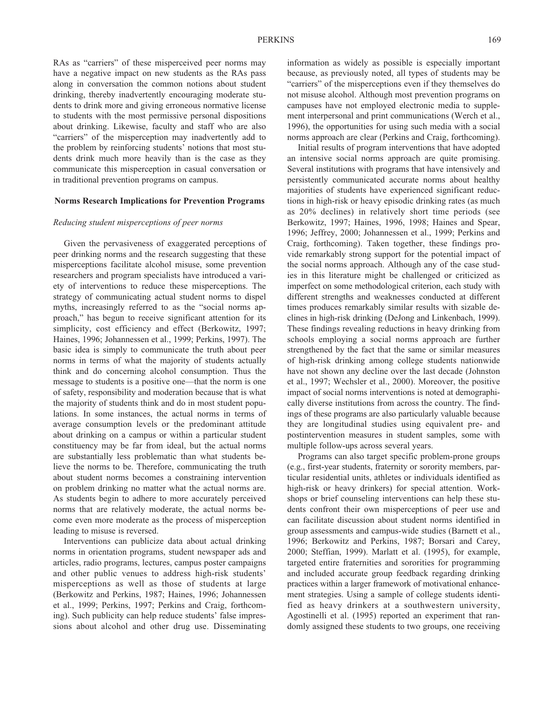RAs as "carriers" of these misperceived peer norms may have a negative impact on new students as the RAs pass along in conversation the common notions about student drinking, thereby inadvertently encouraging moderate students to drink more and giving erroneous normative license to students with the most permissive personal dispositions about drinking. Likewise, faculty and staff who are also "carriers" of the misperception may inadvertently add to the problem by reinforcing students' notions that most students drink much more heavily than is the case as they communicate this misperception in casual conversation or in traditional prevention programs on campus.

#### **Norms Research Implications for Prevention Programs**

#### *Reducing student misperceptions of peer norms*

Given the pervasiveness of exaggerated perceptions of peer drinking norms and the research suggesting that these misperceptions facilitate alcohol misuse, some prevention researchers and program specialists have introduced a variety of interventions to reduce these misperceptions. The strategy of communicating actual student norms to dispel myths, increasingly referred to as the "social norms approach," has begun to receive significant attention for its simplicity, cost efficiency and effect (Berkowitz, 1997; Haines, 1996; Johannessen et al., 1999; Perkins, 1997). The basic idea is simply to communicate the truth about peer norms in terms of what the majority of students actually think and do concerning alcohol consumption. Thus the message to students is a positive one—that the norm is one of safety, responsibility and moderation because that is what the majority of students think and do in most student populations. In some instances, the actual norms in terms of average consumption levels or the predominant attitude about drinking on a campus or within a particular student constituency may be far from ideal, but the actual norms are substantially less problematic than what students believe the norms to be. Therefore, communicating the truth about student norms becomes a constraining intervention on problem drinking no matter what the actual norms are. As students begin to adhere to more accurately perceived norms that are relatively moderate, the actual norms become even more moderate as the process of misperception leading to misuse is reversed.

Interventions can publicize data about actual drinking norms in orientation programs, student newspaper ads and articles, radio programs, lectures, campus poster campaigns and other public venues to address high-risk students' misperceptions as well as those of students at large (Berkowitz and Perkins, 1987; Haines, 1996; Johannessen et al., 1999; Perkins, 1997; Perkins and Craig, forthcoming). Such publicity can help reduce students' false impressions about alcohol and other drug use. Disseminating information as widely as possible is especially important because, as previously noted, all types of students may be "carriers" of the misperceptions even if they themselves do not misuse alcohol. Although most prevention programs on campuses have not employed electronic media to supplement interpersonal and print communications (Werch et al., 1996), the opportunities for using such media with a social norms approach are clear (Perkins and Craig, forthcoming).

Initial results of program interventions that have adopted an intensive social norms approach are quite promising. Several institutions with programs that have intensively and persistently communicated accurate norms about healthy majorities of students have experienced significant reductions in high-risk or heavy episodic drinking rates (as much as 20% declines) in relatively short time periods (see Berkowitz, 1997; Haines, 1996, 1998; Haines and Spear, 1996; Jeffrey, 2000; Johannessen et al., 1999; Perkins and Craig, forthcoming). Taken together, these findings provide remarkably strong support for the potential impact of the social norms approach. Although any of the case studies in this literature might be challenged or criticized as imperfect on some methodological criterion, each study with different strengths and weaknesses conducted at different times produces remarkably similar results with sizable declines in high-risk drinking (DeJong and Linkenbach, 1999). These findings revealing reductions in heavy drinking from schools employing a social norms approach are further strengthened by the fact that the same or similar measures of high-risk drinking among college students nationwide have not shown any decline over the last decade (Johnston et al., 1997; Wechsler et al., 2000). Moreover, the positive impact of social norms interventions is noted at demographically diverse institutions from across the country. The findings of these programs are also particularly valuable because they are longitudinal studies using equivalent pre- and postintervention measures in student samples, some with multiple follow-ups across several years.

Programs can also target specific problem-prone groups (e.g., first-year students, fraternity or sorority members, particular residential units, athletes or individuals identified as high-risk or heavy drinkers) for special attention. Workshops or brief counseling interventions can help these students confront their own misperceptions of peer use and can facilitate discussion about student norms identified in group assessments and campus-wide studies (Barnett et al., 1996; Berkowitz and Perkins, 1987; Borsari and Carey, 2000; Steffian, 1999). Marlatt et al. (1995), for example, targeted entire fraternities and sororities for programming and included accurate group feedback regarding drinking practices within a larger framework of motivational enhancement strategies. Using a sample of college students identified as heavy drinkers at a southwestern university, Agostinelli et al. (1995) reported an experiment that randomly assigned these students to two groups, one receiving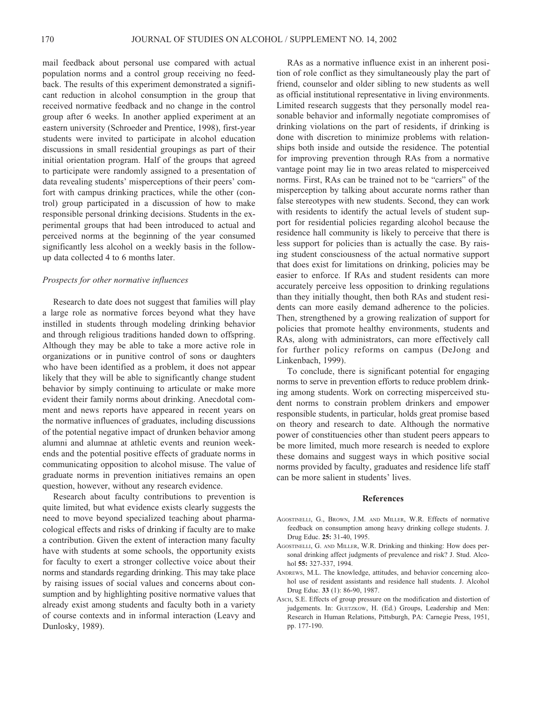mail feedback about personal use compared with actual population norms and a control group receiving no feedback. The results of this experiment demonstrated a significant reduction in alcohol consumption in the group that received normative feedback and no change in the control group after 6 weeks. In another applied experiment at an eastern university (Schroeder and Prentice, 1998), first-year students were invited to participate in alcohol education discussions in small residential groupings as part of their initial orientation program. Half of the groups that agreed to participate were randomly assigned to a presentation of data revealing students' misperceptions of their peers' comfort with campus drinking practices, while the other (control) group participated in a discussion of how to make responsible personal drinking decisions. Students in the experimental groups that had been introduced to actual and perceived norms at the beginning of the year consumed significantly less alcohol on a weekly basis in the followup data collected 4 to 6 months later.

## *Prospects for other normative influences*

Research to date does not suggest that families will play a large role as normative forces beyond what they have instilled in students through modeling drinking behavior and through religious traditions handed down to offspring. Although they may be able to take a more active role in organizations or in punitive control of sons or daughters who have been identified as a problem, it does not appear likely that they will be able to significantly change student behavior by simply continuing to articulate or make more evident their family norms about drinking. Anecdotal comment and news reports have appeared in recent years on the normative influences of graduates, including discussions of the potential negative impact of drunken behavior among alumni and alumnae at athletic events and reunion weekends and the potential positive effects of graduate norms in communicating opposition to alcohol misuse. The value of graduate norms in prevention initiatives remains an open question, however, without any research evidence.

Research about faculty contributions to prevention is quite limited, but what evidence exists clearly suggests the need to move beyond specialized teaching about pharmacological effects and risks of drinking if faculty are to make a contribution. Given the extent of interaction many faculty have with students at some schools, the opportunity exists for faculty to exert a stronger collective voice about their norms and standards regarding drinking. This may take place by raising issues of social values and concerns about consumption and by highlighting positive normative values that already exist among students and faculty both in a variety of course contexts and in informal interaction (Leavy and Dunlosky, 1989).

RAs as a normative influence exist in an inherent position of role conflict as they simultaneously play the part of friend, counselor and older sibling to new students as well as official institutional representative in living environments. Limited research suggests that they personally model reasonable behavior and informally negotiate compromises of drinking violations on the part of residents, if drinking is done with discretion to minimize problems with relationships both inside and outside the residence. The potential for improving prevention through RAs from a normative vantage point may lie in two areas related to misperceived norms. First, RAs can be trained not to be "carriers" of the misperception by talking about accurate norms rather than false stereotypes with new students. Second, they can work with residents to identify the actual levels of student support for residential policies regarding alcohol because the residence hall community is likely to perceive that there is less support for policies than is actually the case. By raising student consciousness of the actual normative support that does exist for limitations on drinking, policies may be easier to enforce. If RAs and student residents can more accurately perceive less opposition to drinking regulations than they initially thought, then both RAs and student residents can more easily demand adherence to the policies. Then, strengthened by a growing realization of support for policies that promote healthy environments, students and RAs, along with administrators, can more effectively call for further policy reforms on campus (DeJong and Linkenbach, 1999).

To conclude, there is significant potential for engaging norms to serve in prevention efforts to reduce problem drinking among students. Work on correcting misperceived student norms to constrain problem drinkers and empower responsible students, in particular, holds great promise based on theory and research to date. Although the normative power of constituencies other than student peers appears to be more limited, much more research is needed to explore these domains and suggest ways in which positive social norms provided by faculty, graduates and residence life staff can be more salient in students' lives.

#### **References**

- AGOSTINELLI, G., BROWN, J.M. AND MILLER, W.R. Effects of normative feedback on consumption among heavy drinking college students. J. Drug Educ. **25:** 31-40, 1995.
- AGOSTINELLI, G. AND MILLER, W.R. Drinking and thinking: How does personal drinking affect judgments of prevalence and risk? J. Stud. Alcohol **55:** 327-337, 1994.
- ANDREWS, M.L. The knowledge, attitudes, and behavior concerning alcohol use of resident assistants and residence hall students. J. Alcohol Drug Educ. **33** (1): 86-90, 1987.
- ASCH, S.E. Effects of group pressure on the modification and distortion of judgements. In: GUETZKOW, H. (Ed.) Groups, Leadership and Men: Research in Human Relations, Pittsburgh, PA: Carnegie Press, 1951, pp. 177-190.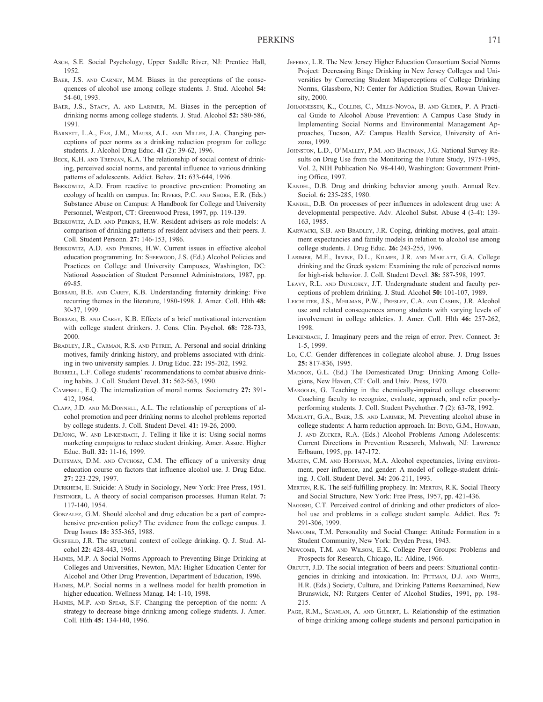ASCH, S.E. Social Psychology, Upper Saddle River, NJ: Prentice Hall, 1952.

- BAER, J.S. AND CARNEY, M.M. Biases in the perceptions of the consequences of alcohol use among college students. J. Stud. Alcohol **54:** 54-60, 1993.
- BAER, J.S., STACY, A. AND LARIMER, M. Biases in the perception of drinking norms among college students. J. Stud. Alcohol **52:** 580-586, 1991.
- BARNETT, L.A., FAR, J.M., MAUSS, A.L. AND MILLER, J.A. Changing perceptions of peer norms as a drinking reduction program for college students. J. Alcohol Drug Educ. **41** (2): 39-62, 1996.
- BECK, K.H. AND TREIMAN, K.A. The relationship of social context of drinking, perceived social norms, and parental influence to various drinking patterns of adolescents. Addict. Behav. **21:** 633-644, 1996.
- BERKOWITZ, A.D. From reactive to proactive prevention: Promoting an ecology of health on campus. In: RIVERS, P.C. AND SHORE, E.R. (Eds.) Substance Abuse on Campus: A Handbook for College and University Personnel, Westport, CT: Greenwood Press, 1997, pp. 119-139.
- BERKOWITZ, A.D. AND PERKINS, H.W. Resident advisers as role models: A comparison of drinking patterns of resident advisers and their peers. J. Coll. Student Personn. **27:** 146-153, 1986.
- BERKOWITZ, A.D. AND PERKINS, H.W. Current issues in effective alcohol education programming. In: SHERWOOD, J.S. (Ed.) Alcohol Policies and Practices on College and University Campuses, Washington, DC: National Association of Student Personnel Administrators, 1987, pp. 69-85.
- BORSARI, B.E. AND CAREY, K.B. Understanding fraternity drinking: Five recurring themes in the literature, 1980-1998. J. Amer. Coll. Hlth **48:** 30-37, 1999.
- BORSARI, B. AND CAREY, K.B. Effects of a brief motivational intervention with college student drinkers. J. Cons. Clin. Psychol. **68:** 728-733, 2000.
- BRADLEY, J.R., CARMAN, R.S. AND PETREE, A. Personal and social drinking motives, family drinking history, and problems associated with drinking in two university samples. J. Drug Educ. **22:** 195-202, 1992.
- BURRELL, L.F. College students' recommendations to combat abusive drinking habits. J. Coll. Student Devel. **31:** 562-563, 1990.
- CAMPBELL, E.Q. The internalization of moral norms. Sociometry **27:** 391 412, 1964.
- CLAPP, J.D. AND MCDONNELL, A.L. The relationship of perceptions of alcohol promotion and peer drinking norms to alcohol problems reported by college students. J. Coll. Student Devel. **41:** 19-26, 2000.
- DEJONG, W. AND LINKENBACH, J. Telling it like it is: Using social norms marketing campaigns to reduce student drinking. Amer. Assoc. Higher Educ. Bull. **32:** 11-16, 1999.
- DUITSMAN, D.M. AND CYCHOSZ, C.M. The efficacy of a university drug education course on factors that influence alcohol use. J. Drug Educ. **27:** 223-229, 1997.
- DURKHEIM, E. Suicide: A Study in Sociology, New York: Free Press, 1951.
- FESTINGER, L. A theory of social comparison processes. Human Relat. **7:** 117-140, 1954.
- GONZALEZ, G.M. Should alcohol and drug education be a part of comprehensive prevention policy? The evidence from the college campus. J. Drug Issues **18:** 355-365, 1988.
- GUSFIELD, J.R. The structural context of college drinking. Q. J. Stud. Alcohol **22:** 428-443, 1961.
- HAINES, M.P. A Social Norms Approach to Preventing Binge Drinking at Colleges and Universities, Newton, MA: Higher Education Center for Alcohol and Other Drug Prevention, Department of Education, 1996.
- HAINES, M.P. Social norms in a wellness model for health promotion in higher education. Wellness Manag. **14:** 1-10, 1998.
- HAINES, M.P. AND SPEAR, S.F. Changing the perception of the norm: A strategy to decrease binge drinking among college students. J. Amer. Coll. Hlth **45:** 134-140, 1996.
- JEFFREY, L.R. The New Jersey Higher Education Consortium Social Norms Project: Decreasing Binge Drinking in New Jersey Colleges and Universities by Correcting Student Misperceptions of College Drinking Norms, Glassboro, NJ: Center for Addiction Studies, Rowan University, 2000.
- JOHANNESSEN, K., COLLINS, C., MILLS-NOVOA, B. AND GLIDER, P. A Practical Guide to Alcohol Abuse Prevention: A Campus Case Study in Implementing Social Norms and Environmental Management Approaches, Tucson, AZ: Campus Health Service, University of Arizona, 1999.
- JOHNSTON, L.D., O'MALLEY, P.M. AND BACHMAN, J.G. National Survey Results on Drug Use from the Monitoring the Future Study, 1975-1995, Vol. 2, NIH Publication No. 98-4140, Washington: Government Printing Office, 1997.
- KANDEL, D.B. Drug and drinking behavior among youth. Annual Rev. Sociol. **6:** 235-285, 1980.
- KANDEL, D.B. On processes of peer influences in adolescent drug use: A developmental perspective. Adv. Alcohol Subst. Abuse **4** (3-4): 139 163, 1985.
- KARWACKI, S.B. AND BRADLEY, J.R. Coping, drinking motives, goal attainment expectancies and family models in relation to alcohol use among college students. J. Drug Educ. **26:** 243-255, 1996.
- LARIMER, M.E., IRVINE, D.L., KILMER, J.R. AND MARLATT, G.A. College drinking and the Greek system: Examining the role of perceived norms for high-risk behavior. J. Coll. Student Devel. **38:** 587-598, 1997.
- LEAVY, R.L. AND DUNLOSKY, J.T. Undergraduate student and faculty perceptions of problem drinking. J. Stud. Alcohol **50:** 101-107, 1989.
- LEICHLITER, J.S., MEILMAN, P.W., PRESLEY, C.A. AND CASHIN, J.R. Alcohol use and related consequences among students with varying levels of involvement in college athletics. J. Amer. Coll. Hlth **46:** 257-262, 1998.
- LINKENBACH, J. Imaginary peers and the reign of error. Prev. Connect. **3:** 1-5, 1999.
- LO, C.C. Gender differences in collegiate alcohol abuse. J. Drug Issues **25:** 817-836, 1995.
- MADDOX, G.L. (Ed.) The Domesticated Drug: Drinking Among Collegians, New Haven, CT: Coll. and Univ. Press, 1970.
- MARGOLIS, G. Teaching in the chemically-impaired college classroom: Coaching faculty to recognize, evaluate, approach, and refer poorlyperforming students. J. Coll. Student Psychother. **7** (2): 63-78, 1992.
- MARLATT, G.A., BAER, J.S. AND LARIMER, M. Preventing alcohol abuse in college students: A harm reduction approach. In: BOYD, G.M., HOWARD, J. AND ZUCKER, R.A. (Eds.) Alcohol Problems Among Adolescents: Current Directions in Prevention Research, Mahwah, NJ: Lawrence Erlbaum, 1995, pp. 147-172.
- MARTIN, C.M. AND HOFFMAN, M.A. Alcohol expectancies, living environment, peer influence, and gender: A model of college-student drinking. J. Coll. Student Devel. **34:** 206-211, 1993.
- MERTON, R.K. The self-fulfilling prophecy. In: MERTON, R.K. Social Theory and Social Structure, New York: Free Press, 1957, pp. 421-436.
- NAGOSHI, C.T. Perceived control of drinking and other predictors of alcohol use and problems in a college student sample. Addict. Res. **7:** 291-306, 1999.
- NEWCOMB, T.M. Personality and Social Change: Attitude Formation in a Student Community, New York: Dryden Press, 1943.
- NEWCOMB, T.M. AND WILSON, E.K. College Peer Groups: Problems and Prospects for Research, Chicago, IL: Aldine, 1966.
- ORCUTT, J.D. The social integration of beers and peers: Situational contingencies in drinking and intoxication. In: PITTMAN, D.J. AND WHITE, H.R. (Eds.) Society, Culture, and Drinking Patterns Reexamined, New Brunswick, NJ: Rutgers Center of Alcohol Studies, 1991, pp. 198 215.
- PAGE, R.M., SCANLAN, A. AND GILBERT, L. Relationship of the estimation of binge drinking among college students and personal participation in